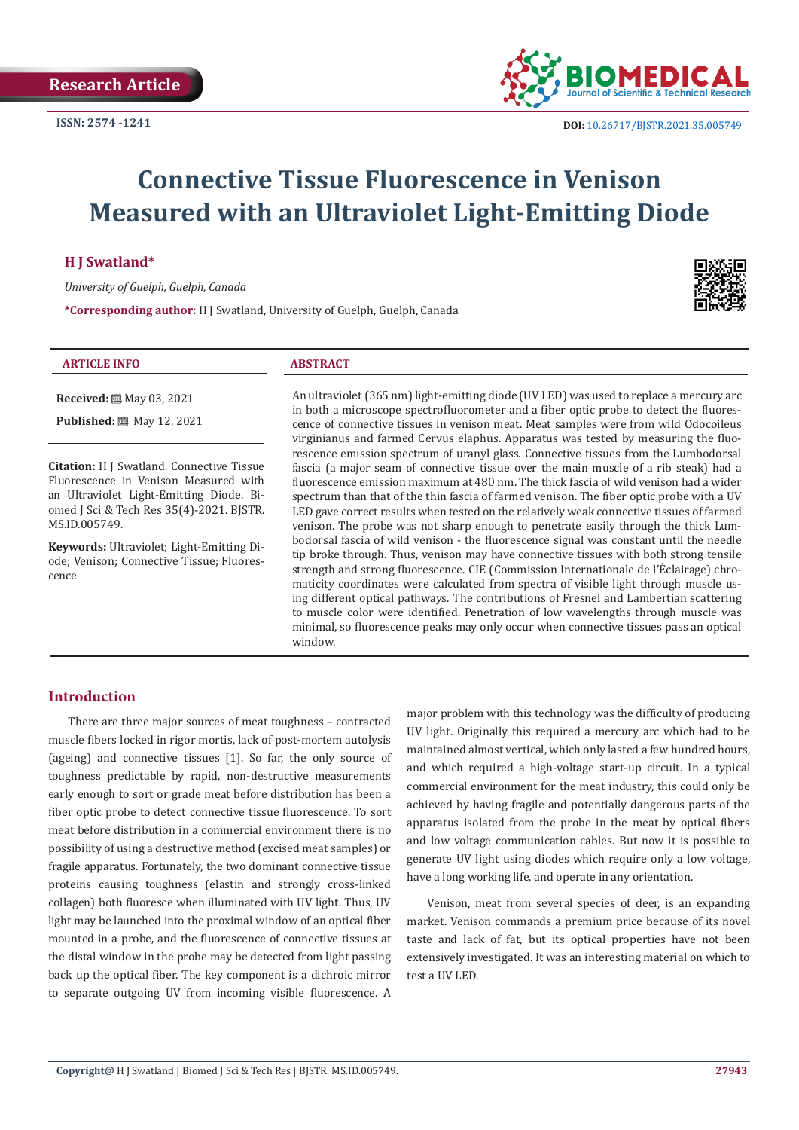

# **Connective Tissue Fluorescence in Venison Measured with an Ultraviolet Light-Emitting Diode**

### **H J Swatland\***

*University of Guelph, Guelph, Canada*

**\*Corresponding author:** H J Swatland, University of Guelph, Guelph, Canada

#### **ARTICLE INFO ABSTRACT**

**Received:** ■ May 03, 2021 **Published:** 圖 May 12, 2021

**Citation:** H J Swatland. Connective Tissue Fluorescence in Venison Measured with an Ultraviolet Light-Emitting Diode. Biomed J Sci & Tech Res 35(4)-2021. BJSTR. MS.ID.005749.

**Keywords:** Ultraviolet; Light-Emitting Diode; Venison; Connective Tissue; Fluorescence

An ultraviolet (365 nm) light-emitting diode (UV LED) was used to replace a mercury arc in both a microscope spectrofluorometer and a fiber optic probe to detect the fluorescence of connective tissues in venison meat. Meat samples were from wild Odocoileus virginianus and farmed Cervus elaphus. Apparatus was tested by measuring the fluorescence emission spectrum of uranyl glass. Connective tissues from the Lumbodorsal fascia (a major seam of connective tissue over the main muscle of a rib steak) had a fluorescence emission maximum at 480 nm. The thick fascia of wild venison had a wider spectrum than that of the thin fascia of farmed venison. The fiber optic probe with a UV LED gave correct results when tested on the relatively weak connective tissues of farmed venison. The probe was not sharp enough to penetrate easily through the thick Lumbodorsal fascia of wild venison - the fluorescence signal was constant until the needle tip broke through. Thus, venison may have connective tissues with both strong tensile strength and strong fluorescence. CIE (Commission Internationale de l'Éclairage) chromaticity coordinates were calculated from spectra of visible light through muscle using different optical pathways. The contributions of Fresnel and Lambertian scattering to muscle color were identified. Penetration of low wavelengths through muscle was minimal, so fluorescence peaks may only occur when connective tissues pass an optical window.

## **Introduction**

There are three major sources of meat toughness – contracted muscle fibers locked in rigor mortis, lack of post-mortem autolysis (ageing) and connective tissues [1]. So far, the only source of toughness predictable by rapid, non-destructive measurements early enough to sort or grade meat before distribution has been a fiber optic probe to detect connective tissue fluorescence. To sort meat before distribution in a commercial environment there is no possibility of using a destructive method (excised meat samples) or fragile apparatus. Fortunately, the two dominant connective tissue proteins causing toughness (elastin and strongly cross-linked collagen) both fluoresce when illuminated with UV light. Thus, UV light may be launched into the proximal window of an optical fiber mounted in a probe, and the fluorescence of connective tissues at the distal window in the probe may be detected from light passing back up the optical fiber. The key component is a dichroic mirror to separate outgoing UV from incoming visible fluorescence. A major problem with this technology was the difficulty of producing UV light. Originally this required a mercury arc which had to be maintained almost vertical, which only lasted a few hundred hours, and which required a high-voltage start-up circuit. In a typical commercial environment for the meat industry, this could only be achieved by having fragile and potentially dangerous parts of the apparatus isolated from the probe in the meat by optical fibers and low voltage communication cables. But now it is possible to generate UV light using diodes which require only a low voltage, have a long working life, and operate in any orientation.

Venison, meat from several species of deer, is an expanding market. Venison commands a premium price because of its novel taste and lack of fat, but its optical properties have not been extensively investigated. It was an interesting material on which to test a UV LED.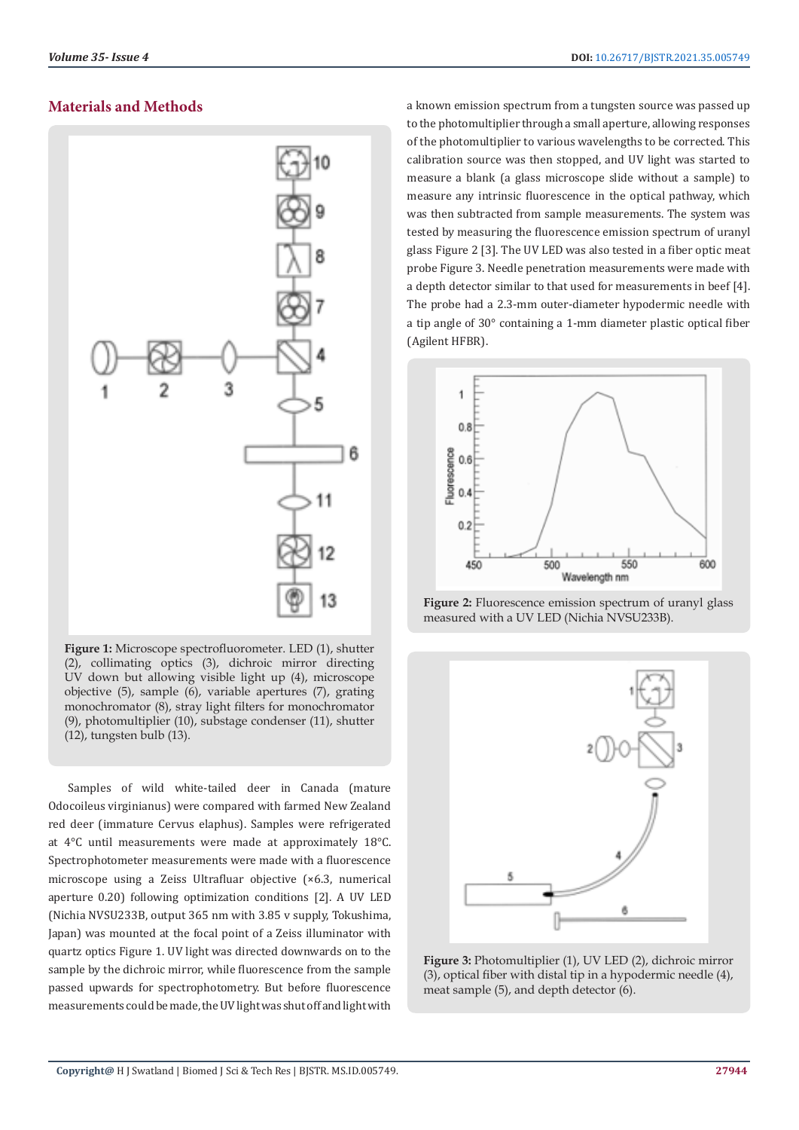## **Materials and Methods**



**Figure 1:** Microscope spectrofluorometer. LED (1), shutter (2), collimating optics (3), dichroic mirror directing UV down but allowing visible light up (4), microscope objective (5), sample (6), variable apertures (7), grating monochromator (8), stray light filters for monochromator (9), photomultiplier (10), substage condenser (11), shutter (12), tungsten bulb (13).

Samples of wild white-tailed deer in Canada (mature Odocoileus virginianus) were compared with farmed New Zealand red deer (immature Cervus elaphus). Samples were refrigerated at 4°C until measurements were made at approximately 18°C. Spectrophotometer measurements were made with a fluorescence microscope using a Zeiss Ultrafluar objective (×6.3, numerical aperture 0.20) following optimization conditions [2]. A UV LED (Nichia NVSU233B, output 365 nm with 3.85 v supply, Tokushima, Japan) was mounted at the focal point of a Zeiss illuminator with quartz optics Figure 1. UV light was directed downwards on to the sample by the dichroic mirror, while fluorescence from the sample passed upwards for spectrophotometry. But before fluorescence measurements could be made, the UV light was shut off and light with

a known emission spectrum from a tungsten source was passed up to the photomultiplier through a small aperture, allowing responses of the photomultiplier to various wavelengths to be corrected. This calibration source was then stopped, and UV light was started to measure a blank (a glass microscope slide without a sample) to measure any intrinsic fluorescence in the optical pathway, which was then subtracted from sample measurements. The system was tested by measuring the fluorescence emission spectrum of uranyl glass Figure 2 [3]. The UV LED was also tested in a fiber optic meat probe Figure 3. Needle penetration measurements were made with a depth detector similar to that used for measurements in beef [4]. The probe had a 2.3-mm outer-diameter hypodermic needle with a tip angle of 30° containing a 1-mm diameter plastic optical fiber (Agilent HFBR).



**Figure 2:** Fluorescence emission spectrum of uranyl glass measured with a UV LED (Nichia NVSU233B).



**Figure 3:** Photomultiplier (1), UV LED (2), dichroic mirror (3), optical fiber with distal tip in a hypodermic needle (4), meat sample (5), and depth detector (6).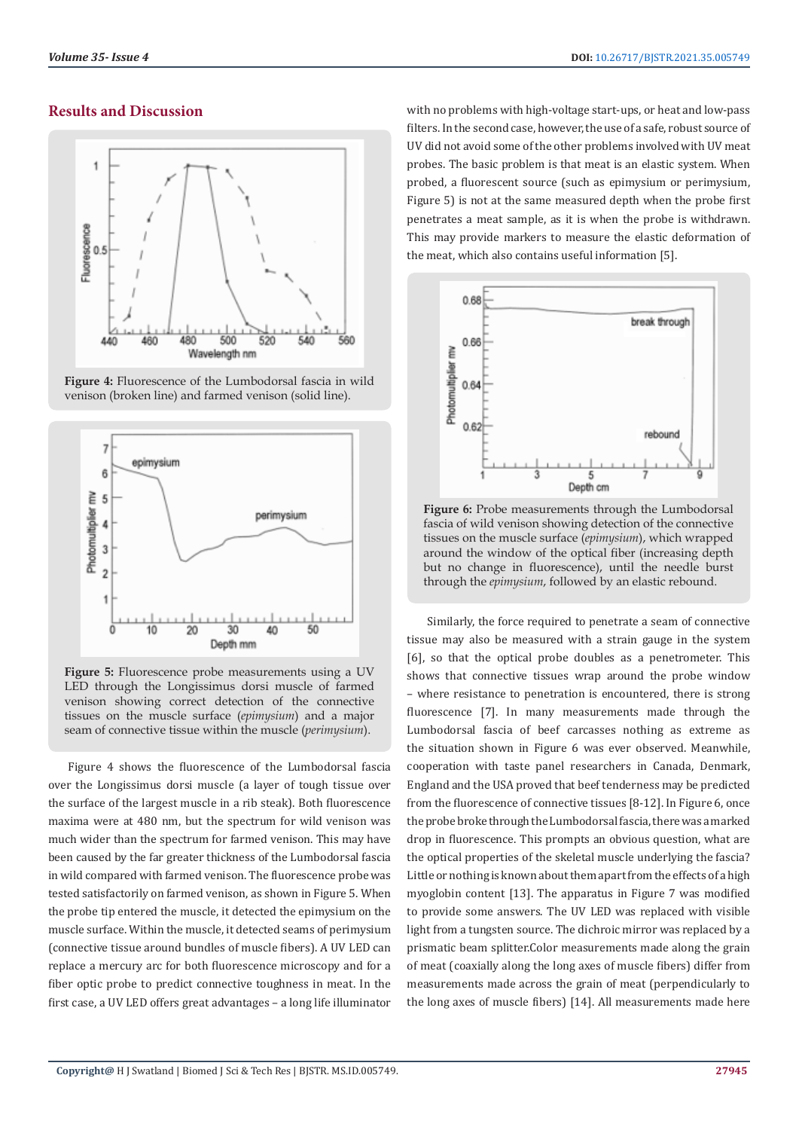### **Results and Discussion**



**Figure 4:** Fluorescence of the Lumbodorsal fascia in wild venison (broken line) and farmed venison (solid line).



**Figure 5:** Fluorescence probe measurements using a UV LED through the Longissimus dorsi muscle of farmed venison showing correct detection of the connective tissues on the muscle surface (*epimysium*) and a major seam of connective tissue within the muscle (*perimysium*).

Figure 4 shows the fluorescence of the Lumbodorsal fascia over the Longissimus dorsi muscle (a layer of tough tissue over the surface of the largest muscle in a rib steak). Both fluorescence maxima were at 480 nm, but the spectrum for wild venison was much wider than the spectrum for farmed venison. This may have been caused by the far greater thickness of the Lumbodorsal fascia in wild compared with farmed venison. The fluorescence probe was tested satisfactorily on farmed venison, as shown in Figure 5. When the probe tip entered the muscle, it detected the epimysium on the muscle surface. Within the muscle, it detected seams of perimysium (connective tissue around bundles of muscle fibers). A UV LED can replace a mercury arc for both fluorescence microscopy and for a fiber optic probe to predict connective toughness in meat. In the first case, a UV LED offers great advantages – a long life illuminator with no problems with high-voltage start-ups, or heat and low-pass filters. In the second case, however, the use of a safe, robust source of UV did not avoid some of the other problems involved with UV meat probes. The basic problem is that meat is an elastic system. When probed, a fluorescent source (such as epimysium or perimysium, Figure 5) is not at the same measured depth when the probe first penetrates a meat sample, as it is when the probe is withdrawn. This may provide markers to measure the elastic deformation of the meat, which also contains useful information [5].



**Figure 6:** Probe measurements through the Lumbodorsal fascia of wild venison showing detection of the connective tissues on the muscle surface (*epimysium*), which wrapped around the window of the optical fiber (increasing depth but no change in fluorescence), until the needle burst through the *epimysium*, followed by an elastic rebound.

Similarly, the force required to penetrate a seam of connective tissue may also be measured with a strain gauge in the system [6], so that the optical probe doubles as a penetrometer. This shows that connective tissues wrap around the probe window – where resistance to penetration is encountered, there is strong fluorescence [7]. In many measurements made through the Lumbodorsal fascia of beef carcasses nothing as extreme as the situation shown in Figure 6 was ever observed. Meanwhile, cooperation with taste panel researchers in Canada, Denmark, England and the USA proved that beef tenderness may be predicted from the fluorescence of connective tissues [8-12]. In Figure 6, once the probe broke through the Lumbodorsal fascia, there was a marked drop in fluorescence. This prompts an obvious question, what are the optical properties of the skeletal muscle underlying the fascia? Little or nothing is known about them apart from the effects of a high myoglobin content [13]. The apparatus in Figure 7 was modified to provide some answers. The UV LED was replaced with visible light from a tungsten source. The dichroic mirror was replaced by a prismatic beam splitter.Color measurements made along the grain of meat (coaxially along the long axes of muscle fibers) differ from measurements made across the grain of meat (perpendicularly to the long axes of muscle fibers) [14]. All measurements made here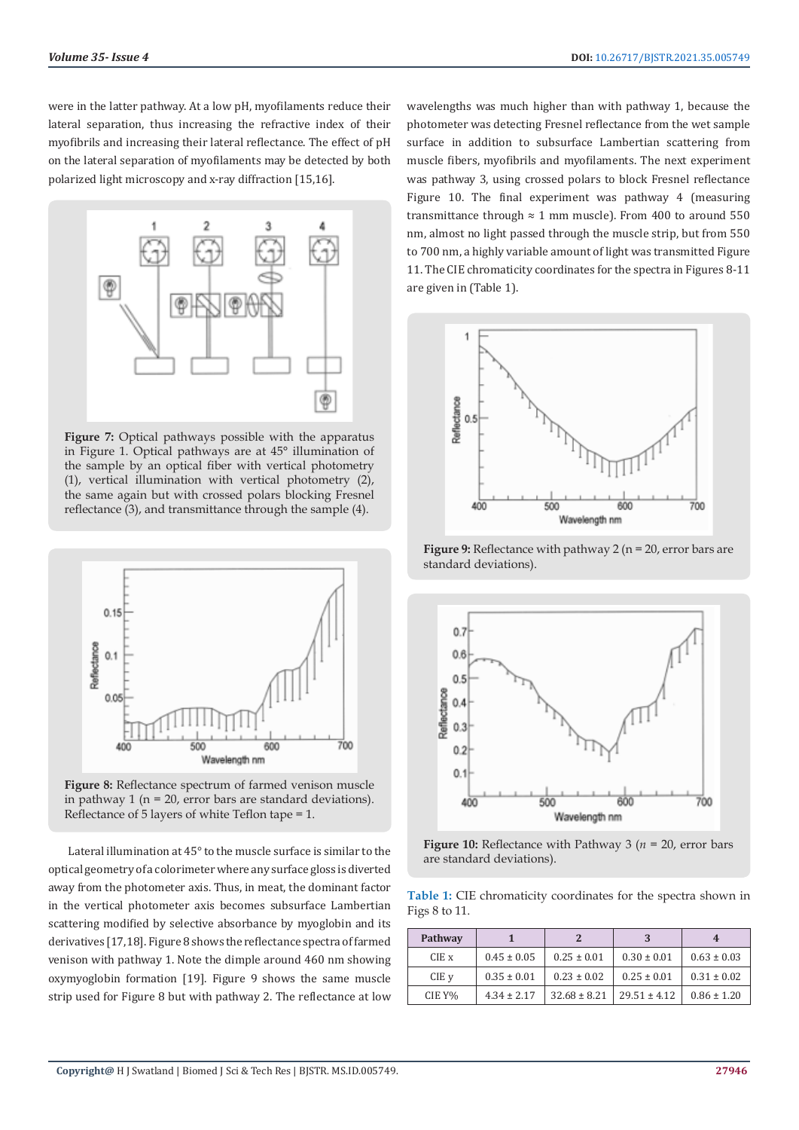were in the latter pathway. At a low pH, myofilaments reduce their lateral separation, thus increasing the refractive index of their myofibrils and increasing their lateral reflectance. The effect of pH on the lateral separation of myofilaments may be detected by both polarized light microscopy and x-ray diffraction [15,16].



**Figure 7:** Optical pathways possible with the apparatus in Figure 1. Optical pathways are at 45° illumination of the sample by an optical fiber with vertical photometry (1), vertical illumination with vertical photometry (2), the same again but with crossed polars blocking Fresnel reflectance (3), and transmittance through the sample (4).



**Figure 8:** Reflectance spectrum of farmed venison muscle in pathway 1 ( $n = 20$ , error bars are standard deviations). Reflectance of 5 layers of white Teflon tape = 1.

Lateral illumination at 45° to the muscle surface is similar to the optical geometry of a colorimeter where any surface gloss is diverted away from the photometer axis. Thus, in meat, the dominant factor in the vertical photometer axis becomes subsurface Lambertian scattering modified by selective absorbance by myoglobin and its derivatives [17,18]. Figure 8 shows the reflectance spectra of farmed venison with pathway 1. Note the dimple around 460 nm showing oxymyoglobin formation [19]. Figure 9 shows the same muscle strip used for Figure 8 but with pathway 2. The reflectance at low

wavelengths was much higher than with pathway 1, because the photometer was detecting Fresnel reflectance from the wet sample surface in addition to subsurface Lambertian scattering from muscle fibers, myofibrils and myofilaments. The next experiment was pathway 3, using crossed polars to block Fresnel reflectance Figure 10. The final experiment was pathway 4 (measuring transmittance through  $\approx 1$  mm muscle). From 400 to around 550 nm, almost no light passed through the muscle strip, but from 550 to 700 nm, a highly variable amount of light was transmitted Figure 11. The CIE chromaticity coordinates for the spectra in Figures 8-11 are given in (Table 1).



**Figure 9:** Reflectance with pathway 2 (n = 20, error bars are standard deviations).



**Figure 10:** Reflectance with Pathway 3 (*n* = 20, error bars are standard deviations).

**Table 1:** CIE chromaticity coordinates for the spectra shown in Figs 8 to 11.

| Pathway |                 |                  |                  |                 |
|---------|-----------------|------------------|------------------|-----------------|
| CIE x   | $0.45 \pm 0.05$ | $0.25 \pm 0.01$  | $0.30 \pm 0.01$  | $0.63 \pm 0.03$ |
| CIE v   | $0.35 \pm 0.01$ | $0.23 \pm 0.02$  | $0.25 \pm 0.01$  | $0.31 \pm 0.02$ |
| CIE Y%  | $4.34 \pm 2.17$ | $32.68 \pm 8.21$ | $29.51 \pm 4.12$ | $0.86 \pm 1.20$ |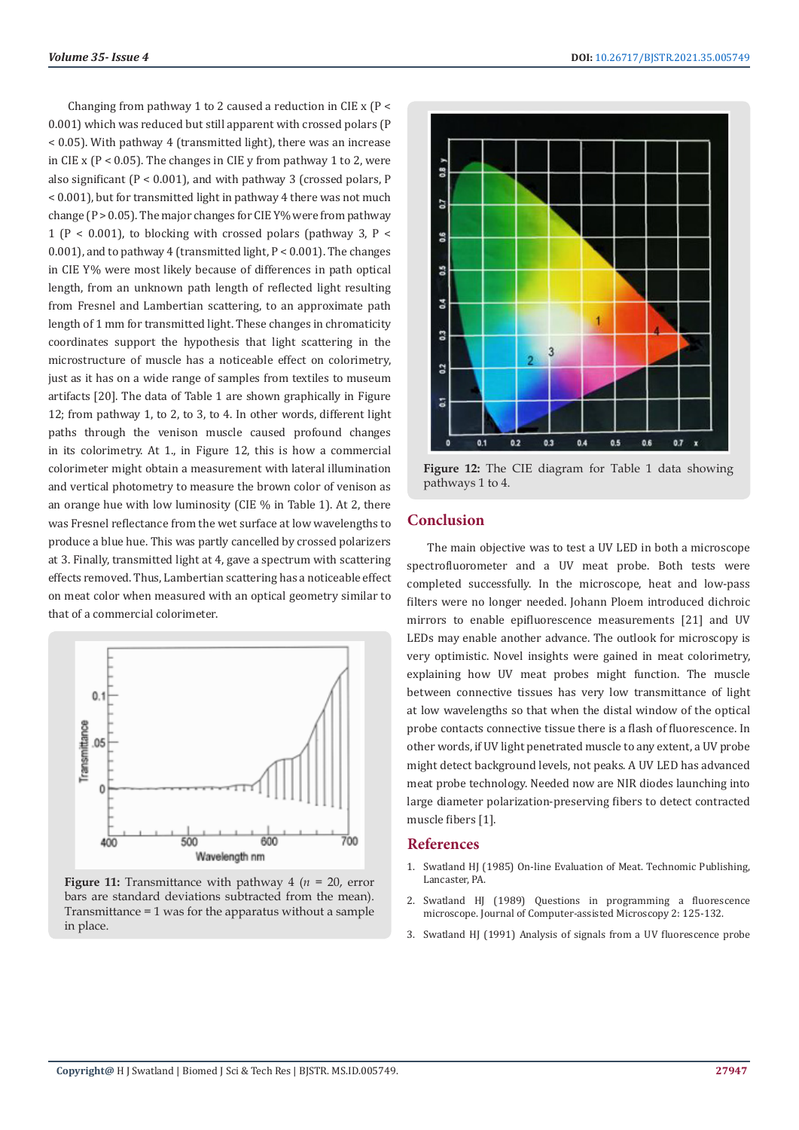Changing from pathway 1 to 2 caused a reduction in CIE x (P < 0.001) which was reduced but still apparent with crossed polars (P < 0.05). With pathway 4 (transmitted light), there was an increase in CIE x ( $P < 0.05$ ). The changes in CIE y from pathway 1 to 2, were also significant (P < 0.001), and with pathway 3 (crossed polars, P < 0.001), but for transmitted light in pathway 4 there was not much change ( $P > 0.05$ ). The major changes for CIE Y% were from pathway 1 ( $P < 0.001$ ), to blocking with crossed polars (pathway 3,  $P <$ 0.001), and to pathway 4 (transmitted light, P < 0.001). The changes in CIE Y% were most likely because of differences in path optical length, from an unknown path length of reflected light resulting from Fresnel and Lambertian scattering, to an approximate path length of 1 mm for transmitted light. These changes in chromaticity coordinates support the hypothesis that light scattering in the microstructure of muscle has a noticeable effect on colorimetry, just as it has on a wide range of samples from textiles to museum artifacts [20]. The data of Table 1 are shown graphically in Figure 12; from pathway 1, to 2, to 3, to 4. In other words, different light paths through the venison muscle caused profound changes in its colorimetry. At 1., in Figure 12, this is how a commercial colorimeter might obtain a measurement with lateral illumination and vertical photometry to measure the brown color of venison as an orange hue with low luminosity (CIE % in Table 1). At 2, there was Fresnel reflectance from the wet surface at low wavelengths to produce a blue hue. This was partly cancelled by crossed polarizers at 3. Finally, transmitted light at 4, gave a spectrum with scattering effects removed. Thus, Lambertian scattering has a noticeable effect on meat color when measured with an optical geometry similar to that of a commercial colorimeter.



**Figure 11:** Transmittance with pathway 4 (*n* = 20, error bars are standard deviations subtracted from the mean). Transmittance = 1 was for the apparatus without a sample in place.



**Figure 12:** The CIE diagram for Table 1 data showing pathways 1 to 4.

## **Conclusion**

The main objective was to test a UV LED in both a microscope spectrofluorometer and a UV meat probe. Both tests were completed successfully. In the microscope, heat and low-pass filters were no longer needed. Johann Ploem introduced dichroic mirrors to enable epifluorescence measurements [21] and UV LEDs may enable another advance. The outlook for microscopy is very optimistic. Novel insights were gained in meat colorimetry, explaining how UV meat probes might function. The muscle between connective tissues has very low transmittance of light at low wavelengths so that when the distal window of the optical probe contacts connective tissue there is a flash of fluorescence. In other words, if UV light penetrated muscle to any extent, a UV probe might detect background levels, not peaks. A UV LED has advanced meat probe technology. Needed now are NIR diodes launching into large diameter polarization-preserving fibers to detect contracted muscle fibers [1].

## **References**

- 1. Swatland HJ (1985) On-line Evaluation of Meat. Technomic Publishing, Lancaster, PA.
- 2. Swatland HJ (1989) Questions in programming a fluorescence microscope. Journal of Computer-assisted Microscopy 2: 125-132.
- 3. [Swatland HJ \(1991\) Analysis of signals from a UV fluorescence probe](https://www.sciencedirect.com/science/article/abs/pii/016816999190004S)